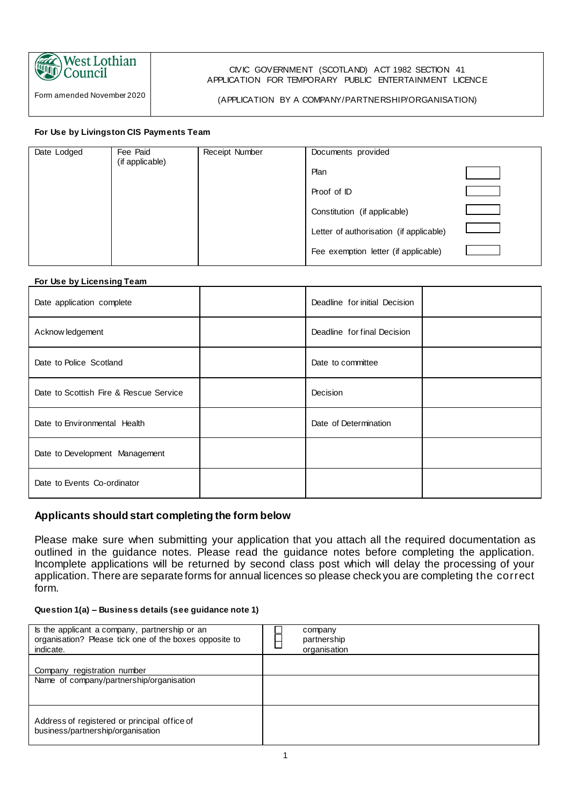

## Form amended November 2020

### CIVIC GOVERNMENT (SCOTLAND) ACT 1982 SECTION 41 APPLICATION FOR TEMPORARY PUBLIC ENTERTAINMENT LICENCE

### (APPLICATION BY A COMPANY/PARTNERSHIP/ORGANISATION)

### **For Use by Livingston CIS Payments Team**

| Date Lodged | Fee Paid<br>(if applicable) | <b>Receipt Number</b> | Documents provided                      |  |
|-------------|-----------------------------|-----------------------|-----------------------------------------|--|
|             |                             |                       | Plan                                    |  |
|             |                             |                       | Proof of ID                             |  |
|             |                             |                       | Constitution (if applicable)            |  |
|             |                             |                       | Letter of authorisation (if applicable) |  |
|             |                             |                       | Fee exemption letter (if applicable)    |  |

### **For Use by Licensing Team**

| Date application complete              | Deadline for initial Decision |  |
|----------------------------------------|-------------------------------|--|
| Acknow ledgement                       | Deadline for final Decision   |  |
| Date to Police Scotland                | Date to committee             |  |
| Date to Scottish Fire & Rescue Service | Decision                      |  |
| Date to Environmental Health           | Date of Determination         |  |
| Date to Development Management         |                               |  |
| Date to Events Co-ordinator            |                               |  |

### **Applicants should start completing the form below**

Please make sure when submitting your application that you attach all the required documentation as outlined in the guidance notes. Please read the guidance notes before completing the application. Incomplete applications will be returned by second class post which will delay the processing of your application. There are separate forms for annual licences so please check you are completing the correct form.

### **Question 1(a) – Business details (see guidance note 1)**

| Is the applicant a company, partnership or an<br>organisation? Please tick one of the boxes opposite to<br>indicate. | company<br>partnership<br>organisation |
|----------------------------------------------------------------------------------------------------------------------|----------------------------------------|
| Company registration number<br>Name of company/partnership/organisation                                              |                                        |
|                                                                                                                      |                                        |
| Address of registered or principal office of<br>business/partnership/organisation                                    |                                        |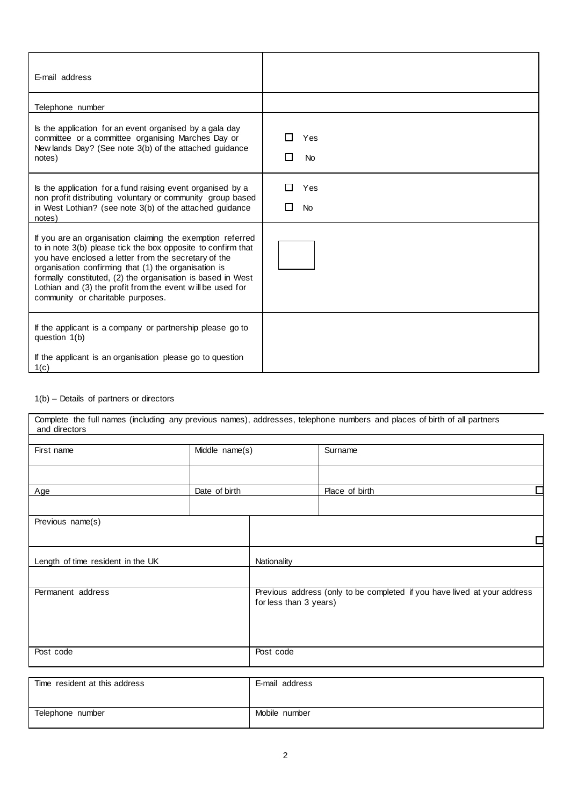| E-mail address                                                                                                                                                                                                                                                                                                                                                                                               |                  |
|--------------------------------------------------------------------------------------------------------------------------------------------------------------------------------------------------------------------------------------------------------------------------------------------------------------------------------------------------------------------------------------------------------------|------------------|
| Telephone number                                                                                                                                                                                                                                                                                                                                                                                             |                  |
| Is the application for an event organised by a gala day<br>committee or a committee organising Marches Day or<br>New lands Day? (See note 3(b) of the attached guidance<br>notes)                                                                                                                                                                                                                            | Yes<br><b>No</b> |
| Is the application for a fund raising event organised by a<br>non profit distributing voluntary or community group based<br>in West Lothian? (see note 3(b) of the attached guidance<br>notes)                                                                                                                                                                                                               | Yes<br><b>No</b> |
| If you are an organisation claiming the exemption referred<br>to in note 3(b) please tick the box opposite to confirm that<br>you have enclosed a letter from the secretary of the<br>organisation confirming that (1) the organisation is<br>formally constituted, (2) the organisation is based in West<br>Lothian and (3) the profit from the event will be used for<br>community or charitable purposes. |                  |
| If the applicant is a company or partnership please go to<br>question 1(b)<br>If the applicant is an organisation please go to question<br>1(c)                                                                                                                                                                                                                                                              |                  |

### 1(b) – Details of partners or directors

| and directors                     |                |                                                                                                    | Complete the full names (including any previous names), addresses, telephone numbers and places of birth of all partners |
|-----------------------------------|----------------|----------------------------------------------------------------------------------------------------|--------------------------------------------------------------------------------------------------------------------------|
| First name                        | Middle name(s) |                                                                                                    | Surname                                                                                                                  |
| Age                               | Date of birth  |                                                                                                    | Place of birth                                                                                                           |
| Previous name(s)                  |                |                                                                                                    |                                                                                                                          |
| Length of time resident in the UK |                | Nationality                                                                                        |                                                                                                                          |
| Permanent address                 |                | Previous address (only to be completed if you have lived at your address<br>for less than 3 years) |                                                                                                                          |
| Post code                         |                | Post code                                                                                          |                                                                                                                          |
| Time resident at this address     |                | E-mail address                                                                                     |                                                                                                                          |
| Telephone number                  |                | Mobile number                                                                                      |                                                                                                                          |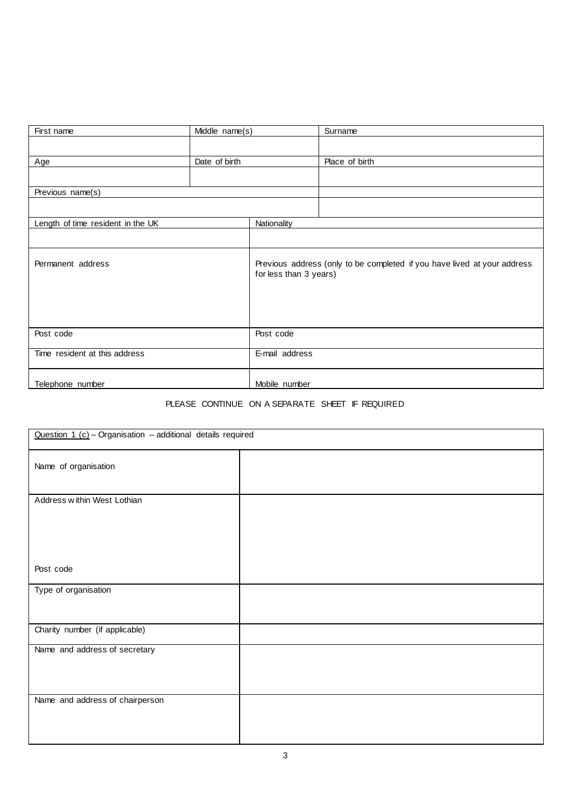| First name                        | Middle name(s) |                        | Surname                                                                  |
|-----------------------------------|----------------|------------------------|--------------------------------------------------------------------------|
|                                   |                |                        |                                                                          |
| Age                               | Date of birth  |                        | Place of birth                                                           |
|                                   |                |                        |                                                                          |
| Previous name(s)                  |                |                        |                                                                          |
|                                   |                |                        |                                                                          |
| Length of time resident in the UK |                | Nationality            |                                                                          |
|                                   |                |                        |                                                                          |
| Permanent address                 |                | for less than 3 years) | Previous address (only to be completed if you have lived at your address |
| Post code                         |                | Post code              |                                                                          |
| Time resident at this address     |                | E-mail address         |                                                                          |
| Telephone number                  |                | Mobile number          |                                                                          |

# PLEASE CONTINUE ON A SEPARATE SHEET IF REQUIRED

| Question 1 $(c)$ - Organisation - additional details required |  |  |
|---------------------------------------------------------------|--|--|
| Name of organisation                                          |  |  |
| Address w ithin West Lothian                                  |  |  |
| Post code                                                     |  |  |
| Type of organisation                                          |  |  |
| Charity number (if applicable)                                |  |  |
| Name and address of secretary                                 |  |  |
| Name and address of chairperson                               |  |  |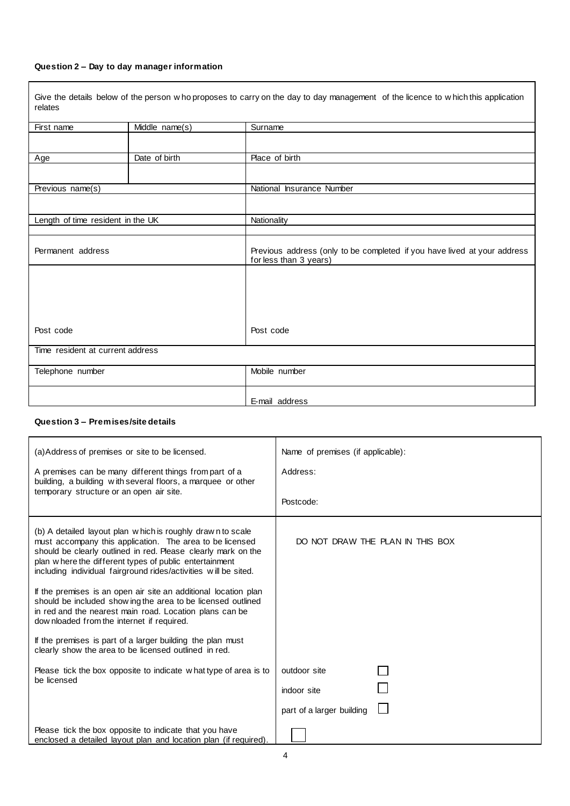### **Question 2 – Day to day manager information**

Give the details below of the person w ho proposes to carry on the day to day management of the licence to w hich this application relates

| First name                        | Middle name(s) | Surname                                                                                            |
|-----------------------------------|----------------|----------------------------------------------------------------------------------------------------|
|                                   |                |                                                                                                    |
| Age                               | Date of birth  | Place of birth                                                                                     |
|                                   |                |                                                                                                    |
| Previous name(s)                  |                | National Insurance Number                                                                          |
|                                   |                |                                                                                                    |
| Length of time resident in the UK |                | <b>Nationality</b>                                                                                 |
|                                   |                |                                                                                                    |
| Permanent address                 |                | Previous address (only to be completed if you have lived at your address<br>for less than 3 years) |
|                                   |                |                                                                                                    |
|                                   |                |                                                                                                    |
|                                   |                |                                                                                                    |
| Post code                         |                | Post code                                                                                          |
| Time resident at current address  |                |                                                                                                    |
| Telephone number                  |                | Mobile number                                                                                      |
|                                   |                | E-mail address                                                                                     |

### **Question 3 – Premises/site details**

| (a) Address of premises or site to be licensed.<br>A premises can be many different things from part of a<br>building, a building with several floors, a marquee or other<br>temporary structure or an open air site.                                                                                                  | Name of premises (if applicable):<br>Address:<br>Postcode: |
|------------------------------------------------------------------------------------------------------------------------------------------------------------------------------------------------------------------------------------------------------------------------------------------------------------------------|------------------------------------------------------------|
| (b) A detailed layout plan w hich is roughly drawn to scale<br>must accompany this application. The area to be licensed<br>should be clearly outlined in red. Please clearly mark on the<br>plan w here the different types of public entertainment<br>including individual fairground rides/activities will be sited. | DO NOT DRAW THE PLAN IN THIS BOX                           |
| If the premises is an open air site an additional location plan<br>should be included show ing the area to be licensed outlined<br>in red and the nearest main road. Location plans can be<br>dow nloaded from the internet if required.                                                                               |                                                            |
| If the premises is part of a larger building the plan must<br>clearly show the area to be licensed outlined in red.                                                                                                                                                                                                    |                                                            |
| Please tick the box opposite to indicate what type of area is to<br>be licensed                                                                                                                                                                                                                                        | outdoor site<br>indoor site<br>part of a larger building   |
| Please tick the box opposite to indicate that you have<br>enclosed a detailed layout plan and location plan (if required).                                                                                                                                                                                             |                                                            |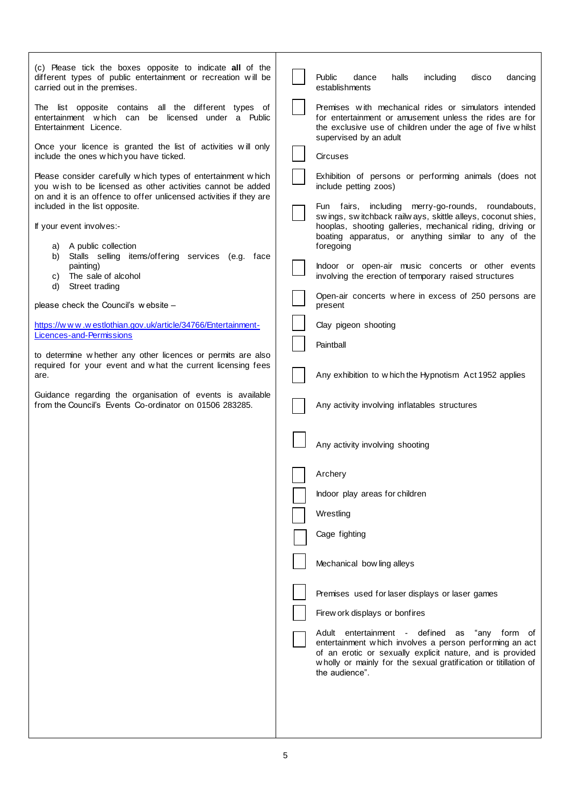| (c) Please tick the boxes opposite to indicate all of the<br>different types of public entertainment or recreation will be<br>carried out in the premises.                                        | Public<br>halls<br>including<br>dance<br>disco<br>dancing<br>establishments                                                                                                                                                                                   |
|---------------------------------------------------------------------------------------------------------------------------------------------------------------------------------------------------|---------------------------------------------------------------------------------------------------------------------------------------------------------------------------------------------------------------------------------------------------------------|
| The list opposite contains all the different types of<br>entertainment which can be licensed under a Public<br>Entertainment Licence.                                                             | Premises with mechanical rides or simulators intended<br>for entertainment or amusement unless the rides are for<br>the exclusive use of children under the age of five whilst                                                                                |
| Once your licence is granted the list of activities will only<br>include the ones w hich you have ticked.                                                                                         | supervised by an adult<br><b>Circuses</b>                                                                                                                                                                                                                     |
| Please consider carefully which types of entertainment which<br>you wish to be licensed as other activities cannot be added<br>on and it is an offence to offer unlicensed activities if they are | Exhibition of persons or performing animals (does not<br>include petting zoos)                                                                                                                                                                                |
| included in the list opposite.<br>If your event involves:-                                                                                                                                        | Fun fairs, including merry-go-rounds,<br>roundabouts,<br>swings, switchback railways, skittle alleys, coconut shies,<br>hooplas, shooting galleries, mechanical riding, driving or<br>boating apparatus, or anything similar to any of the                    |
| a) A public collection<br>b) Stalls selling items/offering services (e.g. face<br>painting)<br>The sale of alcohol<br>C)                                                                          | foregoing<br>Indoor or open-air music concerts or other events<br>involving the erection of temporary raised structures                                                                                                                                       |
| d)<br>Street trading<br>please check the Council's website -                                                                                                                                      | Open-air concerts where in excess of 250 persons are<br>present                                                                                                                                                                                               |
| https://www.westlothian.gov.uk/article/34766/Entertainment-                                                                                                                                       | Clay pigeon shooting                                                                                                                                                                                                                                          |
| Licences-and-Permissions<br>to determine whether any other licences or permits are also                                                                                                           | Paintball                                                                                                                                                                                                                                                     |
| required for your event and what the current licensing fees<br>are.                                                                                                                               | Any exhibition to which the Hypnotism Act 1952 applies                                                                                                                                                                                                        |
| Guidance regarding the organisation of events is available<br>from the Council's Events Co-ordinator on 01506 283285.                                                                             | Any activity involving inflatables structures                                                                                                                                                                                                                 |
|                                                                                                                                                                                                   | Any activity involving shooting                                                                                                                                                                                                                               |
|                                                                                                                                                                                                   | Archery                                                                                                                                                                                                                                                       |
|                                                                                                                                                                                                   | Indoor play areas for children                                                                                                                                                                                                                                |
|                                                                                                                                                                                                   | Wrestling                                                                                                                                                                                                                                                     |
|                                                                                                                                                                                                   | Cage fighting                                                                                                                                                                                                                                                 |
|                                                                                                                                                                                                   | Mechanical bow ling alleys                                                                                                                                                                                                                                    |
|                                                                                                                                                                                                   | Premises used for laser displays or laser games                                                                                                                                                                                                               |
|                                                                                                                                                                                                   | Firew ork displays or bonfires                                                                                                                                                                                                                                |
|                                                                                                                                                                                                   | Adult entertainment - defined as<br>"any form of<br>entertainment which involves a person performing an act<br>of an erotic or sexually explicit nature, and is provided<br>wholly or mainly for the sexual gratification or titillation of<br>the audience". |
|                                                                                                                                                                                                   |                                                                                                                                                                                                                                                               |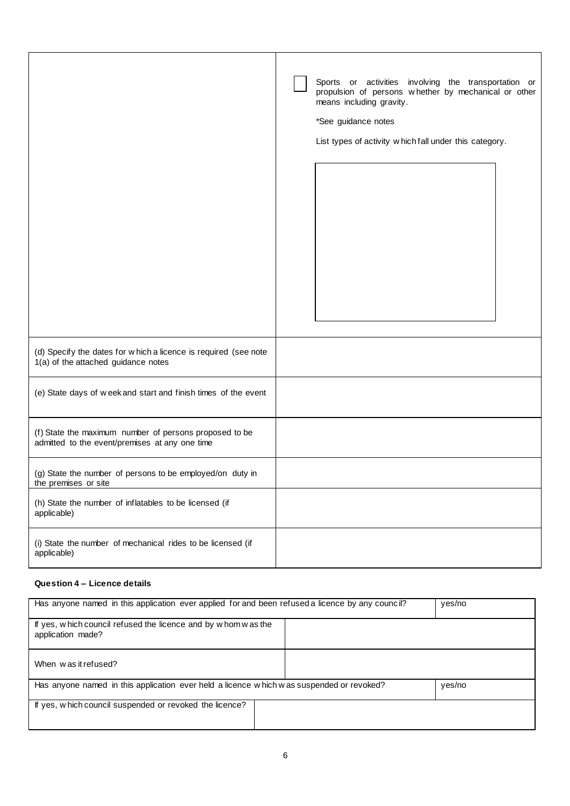|                                                                                                          | Sports or activities involving the transportation or<br>propulsion of persons whether by mechanical or other<br>means including gravity.<br>*See guidance notes<br>List types of activity w hich fall under this category. |
|----------------------------------------------------------------------------------------------------------|----------------------------------------------------------------------------------------------------------------------------------------------------------------------------------------------------------------------------|
| (d) Specify the dates for w hich a licence is required (see note<br>1(a) of the attached guidance notes  |                                                                                                                                                                                                                            |
| (e) State days of week and start and finish times of the event                                           |                                                                                                                                                                                                                            |
| (f) State the maximum number of persons proposed to be<br>admitted to the event/premises at any one time |                                                                                                                                                                                                                            |
| (g) State the number of persons to be employed/on duty in<br>the premises or site                        |                                                                                                                                                                                                                            |
| (h) State the number of inflatables to be licensed (if<br>applicable)                                    |                                                                                                                                                                                                                            |
| (i) State the number of mechanical rides to be licensed (if<br>applicable)                               |                                                                                                                                                                                                                            |

### **Question 4 – Licence details**

| Has anyone named in this application ever applied for and been refused a licence by any council? | yes/no |  |
|--------------------------------------------------------------------------------------------------|--------|--|
| If yes, which council refused the licence and by whom was the<br>application made?               |        |  |
| When was it refused?                                                                             |        |  |
| Has anyone named in this application ever held a licence which was suspended or revoked?         | yes/no |  |
| If yes, which council suspended or revoked the licence?                                          |        |  |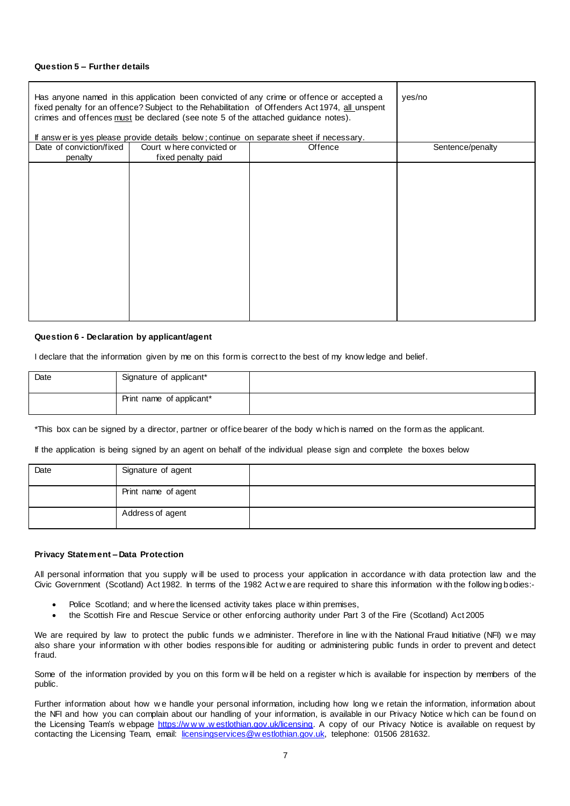### **Question 5 – Further details**

| Has anyone named in this application been convicted of any crime or offence or accepted a<br>fixed penalty for an offence? Subject to the Rehabilitation of Offenders Act 1974, all unspent<br>crimes and offences must be declared (see note 5 of the attached guidance notes).<br>If answer is yes please provide details below; continue on separate sheet if necessary. |                                                |         | yes/no           |
|-----------------------------------------------------------------------------------------------------------------------------------------------------------------------------------------------------------------------------------------------------------------------------------------------------------------------------------------------------------------------------|------------------------------------------------|---------|------------------|
| Date of conviction/fixed<br>penalty                                                                                                                                                                                                                                                                                                                                         | Court where convicted or<br>fixed penalty paid | Offence | Sentence/penalty |
|                                                                                                                                                                                                                                                                                                                                                                             |                                                |         |                  |

#### **Question 6 - Declaration by applicant/agent**

I declare that the information given by me on this form is correct to the best of my know ledge and belief.

| Date | Signature of applicant*  |  |
|------|--------------------------|--|
|      | Print name of applicant* |  |

\*This box can be signed by a director, partner or office bearer of the body w hich is named on the form as the applicant.

If the application is being signed by an agent on behalf of the individual please sign and complete the boxes below

| Date | Signature of agent  |  |
|------|---------------------|--|
|      | Print name of agent |  |
|      | Address of agent    |  |

#### **Privacy Statement – Data Protection**

All personal information that you supply w ill be used to process your application in accordance w ith data protection law and the Civic Government (Scotland) Act 1982. In terms of the 1982 Act w e are required to share this information w ith the follow ing bodies:-

- Police Scotland; and w here the licensed activity takes place w ithin premises,
- the Scottish Fire and Rescue Service or other enforcing authority under Part 3 of the Fire (Scotland) Act 2005

We are required by law to protect the public funds we administer. Therefore in line with the National Fraud Initiative (NFI) we may also share your information w ith other bodies responsible for auditing or administering public funds in order to prevent and detect fraud.

Some of the information provided by you on this form w ill be held on a register w hich is available for inspection by members of the public.

Further information about how we handle your personal information, including how long we retain the information, information about the NFI and how you can complain about our handling of your information, is available in our Privacy Notice w hich can be found on the Licensing Team's w ebpage https://www.westlothian.gov.uk/licensing</u>. A copy of our Privacy Notice is available on request by contacting the Licensing Team, email: [licensingservices@w estlothian.gov.uk,](mailto:licensingservices@westlothian.gov.uk) telephone: 01506 281632.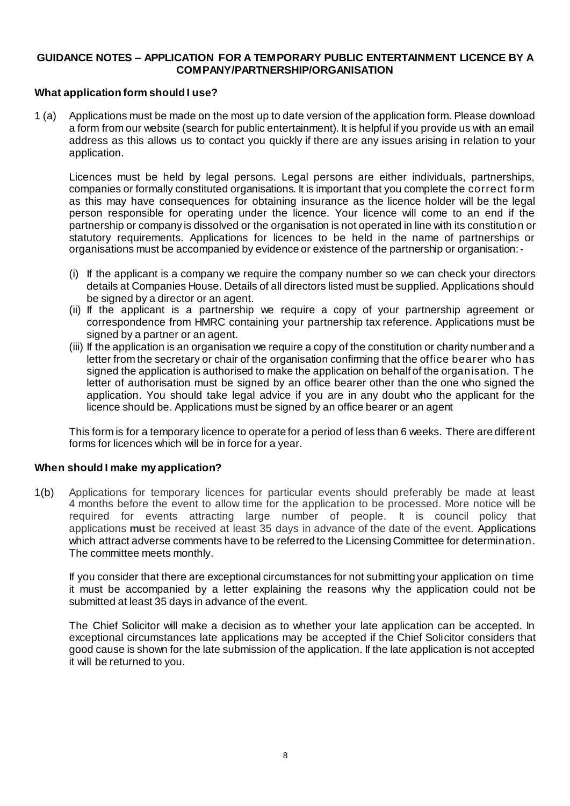## **GUIDANCE NOTES – APPLICATION FOR A TEMPORARY PUBLIC ENTERTAINMENT LICENCE BY A COMPANY/PARTNERSHIP/ORGANISATION**

## **What application form should I use?**

1 (a) Applications must be made on the most up to date version of the application form. Please download a form from our website (search for public entertainment). It is helpful if you provide us with an email address as this allows us to contact you quickly if there are any issues arising in relation to your application.

Licences must be held by legal persons. Legal persons are either individuals, partnerships, companies or formally constituted organisations. It is important that you complete the correct form as this may have consequences for obtaining insurance as the licence holder will be the legal person responsible for operating under the licence. Your licence will come to an end if the partnership or company is dissolved or the organisation is not operated in line with its constitutio n or statutory requirements. Applications for licences to be held in the name of partnerships or organisations must be accompanied by evidence or existence of the partnership or organisation:-

- (i) If the applicant is a company we require the company number so we can check your directors details at Companies House. Details of all directors listed must be supplied. Applications should be signed by a director or an agent.
- (ii) If the applicant is a partnership we require a copy of your partnership agreement or correspondence from HMRC containing your partnership tax reference. Applications must be signed by a partner or an agent.
- (iii) If the application is an organisation we require a copy of the constitution or charity number and a letter from the secretary or chair of the organisation confirming that the office bearer who has signed the application is authorised to make the application on behalf of the organisation. The letter of authorisation must be signed by an office bearer other than the one who signed the application. You should take legal advice if you are in any doubt who the applicant for the licence should be. Applications must be signed by an office bearer or an agent

This form is for a temporary licence to operate for a period of less than 6 weeks. There are different forms for licences which will be in force for a year.

## **When should I make my application?**

1(b) Applications for temporary licences for particular events should preferably be made at least 4 months before the event to allow time for the application to be processed. More notice will be required for events attracting large number of people. It is council policy that applications **must** be received at least 35 days in advance of the date of the event. Applications which attract adverse comments have to be referred to the Licensing Committee for determination. The committee meets monthly.

If you consider that there are exceptional circumstances for not submitting your application on time it must be accompanied by a letter explaining the reasons why the application could not be submitted at least 35 days in advance of the event.

The Chief Solicitor will make a decision as to whether your late application can be accepted. In exceptional circumstances late applications may be accepted if the Chief Solicitor considers that good cause is shown for the late submission of the application. If the late application is not accepted it will be returned to you.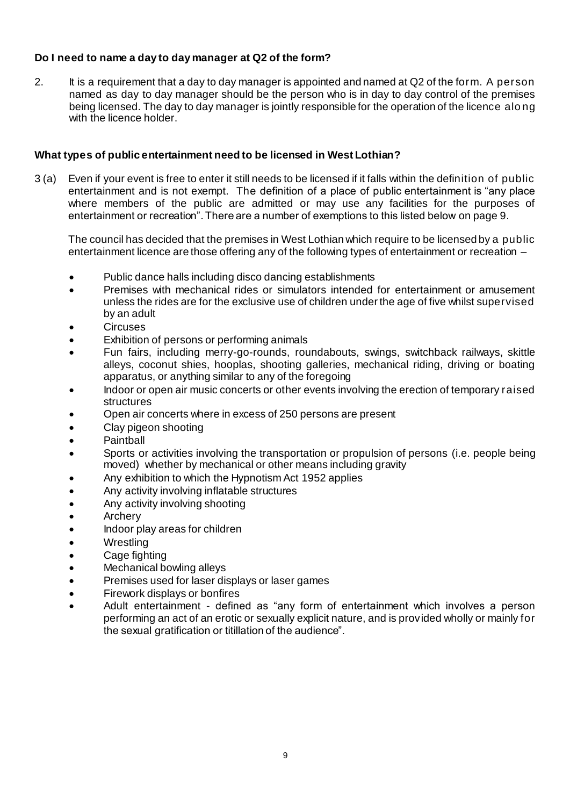# **Do I need to name a day to day manager at Q2 of the form?**

2. It is a requirement that a day to day manager is appointed and named at Q2 of the form. A person named as day to day manager should be the person who is in day to day control of the premises being licensed. The day to day manager is jointly responsible for the operation of the licence alo ng with the licence holder.

# **What types of public entertainment need to be licensed in West Lothian?**

3 (a) Even if your event is free to enter it still needs to be licensed if it falls within the definition of public entertainment and is not exempt. The definition of a place of public entertainment is "any place where members of the public are admitted or may use any facilities for the purposes of entertainment or recreation". There are a number of exemptions to this listed below on page 9.

The council has decided that the premises in West Lothian which require to be licensed by a public entertainment licence are those offering any of the following types of entertainment or recreation –

- Public dance halls including disco dancing establishments
- Premises with mechanical rides or simulators intended for entertainment or amusement unless the rides are for the exclusive use of children under the age of five whilst supervised by an adult
- **Circuses**
- Exhibition of persons or performing animals
- Fun fairs, including merry-go-rounds, roundabouts, swings, switchback railways, skittle alleys, coconut shies, hooplas, shooting galleries, mechanical riding, driving or boating apparatus, or anything similar to any of the foregoing
- Indoor or open air music concerts or other events involving the erection of temporary raised structures
- Open air concerts where in excess of 250 persons are present
- Clay pigeon shooting
- **Paintball**
- Sports or activities involving the transportation or propulsion of persons (i.e. people being moved) whether by mechanical or other means including gravity
- Any exhibition to which the Hypnotism Act 1952 applies
- Any activity involving inflatable structures
- Any activity involving shooting
- **Archery**
- Indoor play areas for children
- **Wrestling**
- Cage fighting
- Mechanical bowling alleys
- Premises used for laser displays or laser games
- Firework displays or bonfires
- Adult entertainment defined as "any form of entertainment which involves a person performing an act of an erotic or sexually explicit nature, and is provided wholly or mainly for the sexual gratification or titillation of the audience".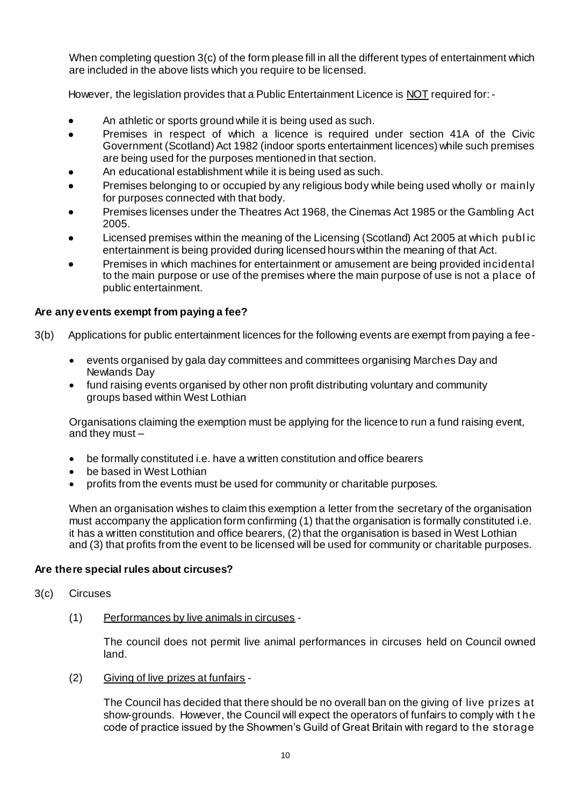When completing question 3(c) of the form please fill in all the different types of entertainment which are included in the above lists which you require to be licensed.

However, the legislation provides that a Public Entertainment Licence is NOT required for: -

- An athletic or sports ground while it is being used as such.
- Premises in respect of which a licence is required under section 41A of the Civic Government (Scotland) Act 1982 (indoor sports entertainment licences) while such premises are being used for the purposes mentioned in that section.
- An educational establishment while it is being used as such.
- Premises belonging to or occupied by any religious body while being used wholly or mainly for purposes connected with that body.
- Premises licenses under the Theatres Act 1968, the Cinemas Act 1985 or the Gambling Act 2005.
- Licensed premises within the meaning of the Licensing (Scotland) Act 2005 at which publ ic entertainment is being provided during licensed hours within the meaning of that Act.
- Premises in which machines for entertainment or amusement are being provided incidental to the main purpose or use of the premises where the main purpose of use is not a place of public entertainment.

## **Are any events exempt from paying a fee?**

- 3(b) Applications for public entertainment licences for the following events are exempt from paying a fee
	- events organised by gala day committees and committees organising Marches Day and Newlands Day
	- fund raising events organised by other non profit distributing voluntary and community groups based within West Lothian

Organisations claiming the exemption must be applying for the licence to run a fund raising event, and they must –

- be formally constituted i.e. have a written constitution and office bearers
- be based in West Lothian
- profits from the events must be used for community or charitable purposes.

When an organisation wishes to claim this exemption a letter from the secretary of the organisation must accompany the application form confirming (1) that the organisation is formally constituted i.e. it has a written constitution and office bearers, (2) that the organisation is based in West Lothian and (3) that profits from the event to be licensed will be used for community or charitable purposes.

## **Are there special rules about circuses?**

- 3(c) Circuses
	- (1) Performances by live animals in circuses -

The council does not permit live animal performances in circuses held on Council owned land.

(2) Giving of live prizes at funfairs -

The Council has decided that there should be no overall ban on the giving of live prizes at show-grounds. However, the Council will expect the operators of funfairs to comply with t he code of practice issued by the Showmen's Guild of Great Britain with regard to the storage